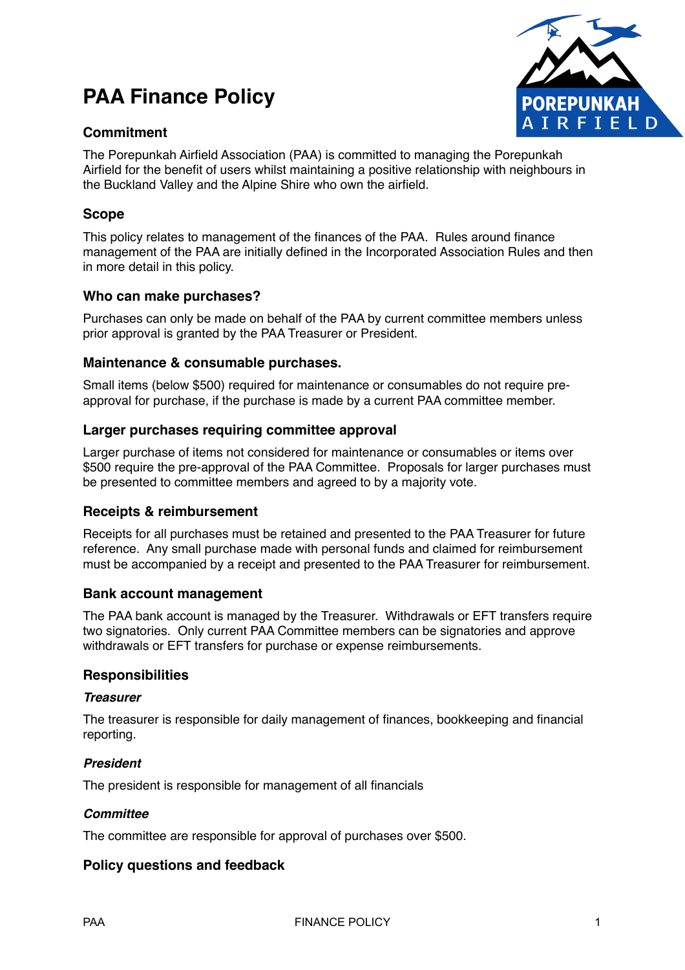# **PAA Finance Policy**

# **Commitment**



The Porepunkah Airfield Association (PAA) is committed to managing the Porepunkah Airfield for the benefit of users whilst maintaining a positive relationship with neighbours in the Buckland Valley and the Alpine Shire who own the airfield.

## **Scope**

This policy relates to management of the finances of the PAA. Rules around finance management of the PAA are initially defined in the Incorporated Association Rules and then in more detail in this policy.

## **Who can make purchases?**

Purchases can only be made on behalf of the PAA by current committee members unless prior approval is granted by the PAA Treasurer or President.

#### **Maintenance & consumable purchases.**

Small items (below \$500) required for maintenance or consumables do not require preapproval for purchase, if the purchase is made by a current PAA committee member.

## **Larger purchases requiring committee approval**

Larger purchase of items not considered for maintenance or consumables or items over \$500 require the pre-approval of the PAA Committee. Proposals for larger purchases must be presented to committee members and agreed to by a majority vote.

## **Receipts & reimbursement**

Receipts for all purchases must be retained and presented to the PAA Treasurer for future reference. Any small purchase made with personal funds and claimed for reimbursement must be accompanied by a receipt and presented to the PAA Treasurer for reimbursement.

#### **Bank account management**

The PAA bank account is managed by the Treasurer. Withdrawals or EFT transfers require two signatories. Only current PAA Committee members can be signatories and approve withdrawals or EFT transfers for purchase or expense reimbursements.

#### **Responsibilities**

#### *Treasurer*

The treasurer is responsible for daily management of finances, bookkeeping and financial reporting.

#### *President*

The president is responsible for management of all financials

#### *Committee*

The committee are responsible for approval of purchases over \$500.

## **Policy questions and feedback**